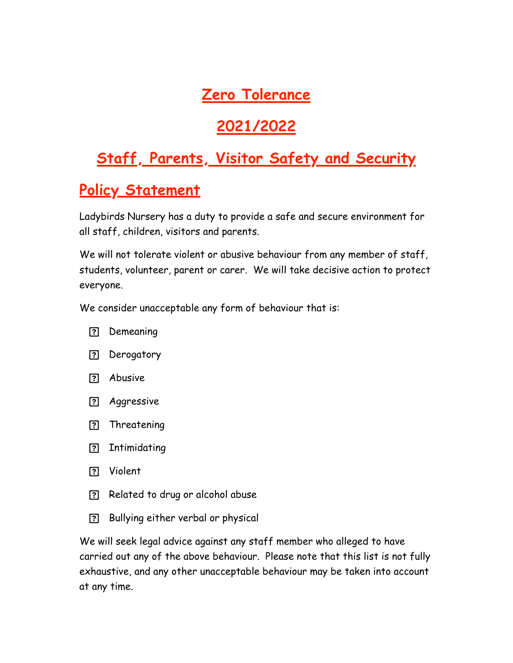## **Zero Tolerance**

## **2021/2022**

## **Staff, Parents, Visitor Safety and Security**

## **Policy Statement**

Ladybirds Nursery has a duty to provide a safe and secure environment for all staff, children, visitors and parents.

We will not tolerate violent or abusive behaviour from any member of staff, students, volunteer, parent or carer. We will take decisive action to protect everyone.

We consider unacceptable any form of behaviour that is:

- ? Demeaning
- ? Derogatory
- Abusive
- **P.** Aggressive
- ? Threatening
- ? Intimidating
- Violent
- Related to drug or alcohol abuse
- Bullying either verbal or physical

We will seek legal advice against any staff member who alleged to have carried out any of the above behaviour. Please note that this list is not fully exhaustive, and any other unacceptable behaviour may be taken into account at any time.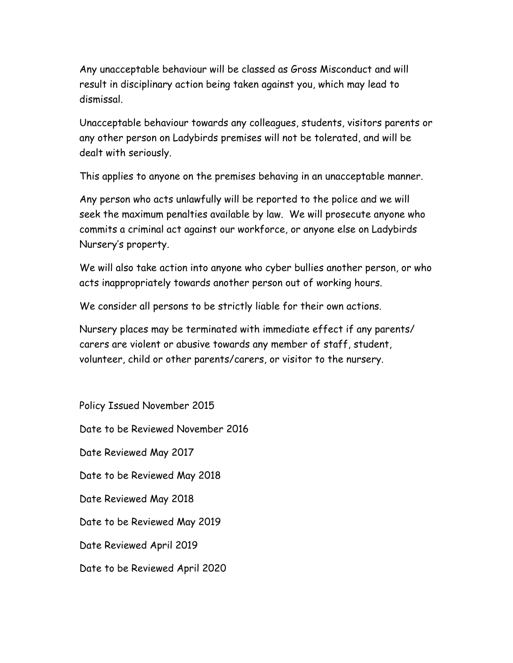Any unacceptable behaviour will be classed as Gross Misconduct and will result in disciplinary action being taken against you, which may lead to dismissal.

Unacceptable behaviour towards any colleagues, students, visitors parents or any other person on Ladybirds premises will not be tolerated, and will be dealt with seriously.

This applies to anyone on the premises behaving in an unacceptable manner.

Any person who acts unlawfully will be reported to the police and we will seek the maximum penalties available by law. We will prosecute anyone who commits a criminal act against our workforce, or anyone else on Ladybirds Nursery's property.

We will also take action into anyone who cyber bullies another person, or who acts inappropriately towards another person out of working hours.

We consider all persons to be strictly liable for their own actions.

Nursery places may be terminated with immediate effect if any parents/ carers are violent or abusive towards any member of staff, student, volunteer, child or other parents/carers, or visitor to the nursery.

Policy Issued November 2015 Date to be Reviewed November 2016 Date Reviewed May 2017 Date to be Reviewed May 2018 Date Reviewed May 2018 Date to be Reviewed May 2019 Date Reviewed April 2019 Date to be Reviewed April 2020